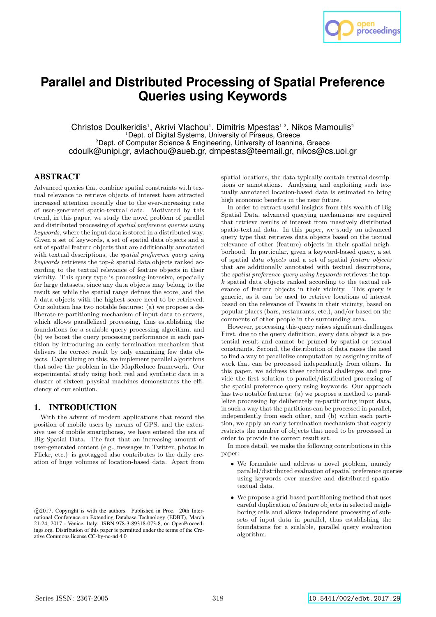

# **Parallel and Distributed Processing of Spatial Preference Queries using Keywords**

Christos Doulkeridis<sup>1</sup>, Akrivi Vlachou<sup>1</sup>, Dimitris Mpestas<sup>1,2</sup>, Nikos Mamoulis<sup>2</sup> <sup>1</sup>Dept. of Digital Systems, University of Piraeus, Greece <sup>2</sup>Dept. of Computer Science & Engineering, University of Ioannina, Greece cdoulk@unipi.gr, avlachou@aueb.gr, dmpestas@teemail.gr, nikos@cs.uoi.gr

# **ABSTRACT**

Advanced queries that combine spatial constraints with textual relevance to retrieve objects of interest have attracted increased attention recently due to the ever-increasing rate of user-generated spatio-textual data. Motivated by this trend, in this paper, we study the novel problem of parallel and distributed processing of *spatial preference queries using keywords*, where the input data is stored in a distributed way. Given a set of keywords, a set of spatial data objects and a set of spatial feature objects that are additionally annotated with textual descriptions, the *spatial preference query using keywords* retrieves the top-k spatial data objects ranked according to the textual relevance of feature objects in their vicinity. This query type is processing-intensive, especially for large datasets, since any data objects may belong to the result set while the spatial range defines the score, and the  $k$  data objects with the highest score need to be retrieved. Our solution has two notable features: (a) we propose a deliberate re-partitioning mechanism of input data to servers, which allows parallelized processing, thus establishing the foundations for a scalable query processing algorithm, and (b) we boost the query processing performance in each partition by introducing an early termination mechanism that delivers the correct result by only examining few data objects. Capitalizing on this, we implement parallel algorithms that solve the problem in the MapReduce framework. Our experimental study using both real and synthetic data in a cluster of sixteen physical machines demonstrates the efficiency of our solution.

# **1. INTRODUCTION**

With the advent of modern applications that record the position of mobile users by means of GPS, and the extensive use of mobile smartphones, we have entered the era of Big Spatial Data. The fact that an increasing amount of user-generated content (e.g., messages in Twitter, photos in Flickr, etc.) is geotagged also contributes to the daily creation of huge volumes of location-based data. Apart from

 c 2017, Copyright is with the authors. Published in Proc. 20th International Conference on Extending Database Technology (EDBT), March 21-24, 2017 - Venice, Italy: ISBN 978-3-89318-073-8, on OpenProceedings.org. Distribution of this paper is permitted under the terms of the Creative Commons license CC-by-nc-nd 4.0

spatial locations, the data typically contain textual descriptions or annotations. Analyzing and exploiting such textually annotated location-based data is estimated to bring high economic benefits in the near future.

In order to extract useful insights from this wealth of Big Spatial Data, advanced querying mechanisms are required that retrieve results of interest from massively distributed spatio-textual data. In this paper, we study an advanced query type that retrieves data objects based on the textual relevance of other (feature) objects in their spatial neighborhood. In particular, given a keyword-based query, a set of spatial *data objects* and a set of spatial *feature objects* that are additionally annotated with textual descriptions, the *spatial preference query using keywords* retrieves the topk spatial data objects ranked according to the textual relevance of feature objects in their vicinity. This query is generic, as it can be used to retrieve locations of interest based on the relevance of Tweets in their vicinity, based on popular places (bars, restaurants, etc.), and/or based on the comments of other people in the surrounding area.

However, processing this query raises significant challenges. First, due to the query definition, every data object is a potential result and cannot be pruned by spatial or textual constraints. Second, the distribution of data raises the need to find a way to parallelize computation by assigning units of work that can be processed independently from others. In this paper, we address these technical challenges and provide the first solution to parallel/distributed processing of the spatial preference query using keywords. Our approach has two notable features: (a) we propose a method to parallelize processing by deliberately re-partitioning input data, in such a way that the partitions can be processed in parallel, independently from each other, and (b) within each partition, we apply an early termination mechanism that eagerly restricts the number of objects that need to be processed in order to provide the correct result set.

In more detail, we make the following contributions in this paper:

- We formulate and address a novel problem, namely parallel/distributed evaluation of spatial preference queries using keywords over massive and distributed spatiotextual data.
- We propose a grid-based partitioning method that uses careful duplication of feature objects in selected neighboring cells and allows independent processing of subsets of input data in parallel, thus establishing the foundations for a scalable, parallel query evaluation algorithm.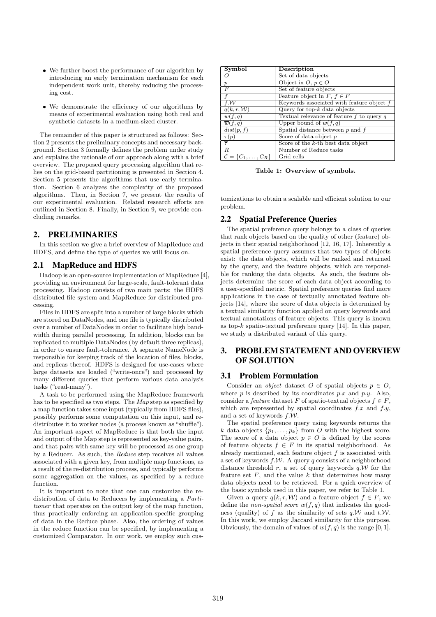- We further boost the performance of our algorithm by introducing an early termination mechanism for each independent work unit, thereby reducing the processing cost.
- We demonstrate the efficiency of our algorithms by means of experimental evaluation using both real and synthetic datasets in a medium-sized cluster.

The remainder of this paper is structured as follows: Section 2 presents the preliminary concepts and necessary background. Section 3 formally defines the problem under study and explains the rationale of our approach along with a brief overview. The proposed query processing algorithm that relies on the grid-based partitioning is presented in Section 4. Section 5 presents the algorithms that use early termination. Section 6 analyzes the complexity of the proposed algorithms. Then, in Section 7, we present the results of our experimental evaluation. Related research efforts are outlined in Section 8. Finally, in Section 9, we provide concluding remarks.

# **2. PRELIMINARIES**

In this section we give a brief overview of MapReduce and HDFS, and define the type of queries we will focus on.

### **2.1 MapReduce and HDFS**

Hadoop is an open-source implementation of MapReduce [4], providing an environment for large-scale, fault-tolerant data processing. Hadoop consists of two main parts: the HDFS distributed file system and MapReduce for distributed processing.

Files in HDFS are split into a number of large blocks which are stored on DataNodes, and one file is typically distributed over a number of DataNodes in order to facilitate high bandwidth during parallel processing. In addition, blocks can be replicated to multiple DataNodes (by default three replicas), in order to ensure fault-tolerance. A separate NameNode is responsible for keeping track of the location of files, blocks, and replicas thereof. HDFS is designed for use-cases where large datasets are loaded ("write-once") and processed by many different queries that perform various data analysis tasks ("read-many").

A task to be performed using the MapReduce framework has to be specified as two steps. The *Map* step as specified by a map function takes some input (typically from HDFS files), possibly performs some computation on this input, and redistributes it to worker nodes (a process known as "shuffle"). An important aspect of MapReduce is that both the input and output of the Map step is represented as key-value pairs, and that pairs with same key will be processed as one group by a Reducer. As such, the *Reduce* step receives all values associated with a given key, from multiple map functions, as a result of the re-distribution process, and typically performs some aggregation on the values, as specified by a reduce function.

It is important to note that one can customize the redistribution of data to Reducers by implementing a *Partitioner* that operates on the output key of the map function, thus practically enforcing an application-specific grouping of data in the Reduce phase. Also, the ordering of values in the reduce function can be specified, by implementing a customized Comparator. In our work, we employ such cus-

| Symbol                  | Description                                   |
|-------------------------|-----------------------------------------------|
| Ω                       | Set of data objects                           |
| $\boldsymbol{p}$        | Object in $O, p \in O$                        |
| F                       | Set of feature objects                        |
|                         | Feature object in $F, f \in F$                |
| f.W                     | Keywords associated with feature object $f$   |
| q(k, r, W)              | Query for top- $k$ data objects               |
| w(f,q)                  | Textual relevance of feature $f$ to query $q$ |
| $\overline{w}(f,q)$     | Upper bound of $w(f, q)$                      |
| $\overline{dist(p, f)}$ | Spatial distance between $p$ and $f$          |
| $\tau(p)$               | Score of data object $p$                      |
| $\overline{\tau}$       | Score of the $k$ -th best data object         |
| $_{R}$                  | Number of Reduce tasks                        |
| $\{C_1,\ldots,C_R\}$    | Grid cells                                    |

Table 1: Overview of symbols.

tomizations to obtain a scalable and efficient solution to our problem.

# **2.2 Spatial Preference Queries**

The spatial preference query belongs to a class of queries that rank objects based on the quality of other (feature) objects in their spatial neighborhood [12, 16, 17]. Inherently a spatial preference query assumes that two types of objects exist: the data objects, which will be ranked and returned by the query, and the feature objects, which are responsible for ranking the data objects. As such, the feature objects determine the score of each data object according to a user-specified metric. Spatial preference queries find more applications in the case of textually annotated feature objects [14], where the score of data objects is determined by a textual similarity function applied on query keywords and textual annotations of feature objects. This query is known as top- $k$  spatio-textual preference query [14]. In this paper, we study a distributed variant of this query.

# **3. PROBLEM STATEMENT AND OVERVIEW OF SOLUTION**

# **3.1 Problem Formulation**

Consider an *object* dataset O of spatial objects  $p \in O$ , where  $p$  is described by its coordinates  $p.x$  and  $p.y$ . Also, consider a *feature* dataset F of spatio-textual objects  $f \in F$ , which are represented by spatial coordinates  $f.x$  and  $f.y$ , and a set of keywords  $f.W$ .

The spatial preference query using keywords returns the k data objects  $\{p_1, \ldots, p_k\}$  from O with the highest score. The score of a data object  $p \in O$  is defined by the scores of feature objects  $f \in F$  in its spatial neighborhood. As already mentioned, each feature object  $f$  is associated with a set of keywords  $f.W.$  A query q consists of a neighborhood distance threshold r, a set of query keywords  $q.W$  for the feature set  $F$ , and the value  $k$  that determines how many data objects need to be retrieved. For a quick overview of the basic symbols used in this paper, we refer to Table 1.

Given a query  $q(k, r, W)$  and a feature object  $f \in F$ , we define the *non-spatial score*  $w(f, q)$  that indicates the goodness (quality) of f as the similarity of sets  $q.W$  and  $t.W$ . In this work, we employ Jaccard similarity for this purpose. Obviously, the domain of values of  $w(f, q)$  is the range [0, 1].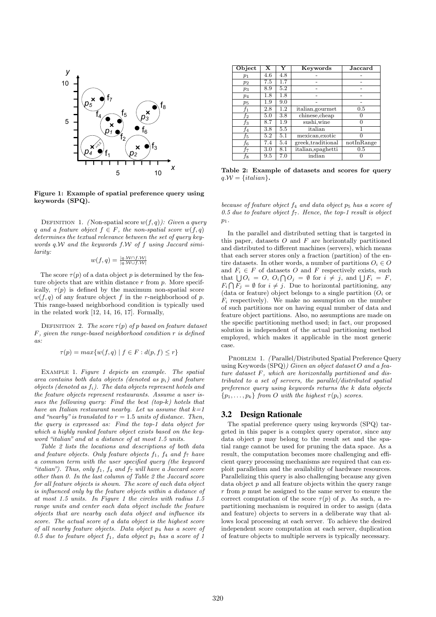

Figure 1: Example of spatial preference query using keywords (SPQ).

DEFINITION 1. *(Non-spatial score w(f, q)): Given a query* q and a feature object  $f \in F$ , the non-spatial score  $w(f, q)$ *determines the textual relevance between the set of query keywords* q.W *and the keywords* f.W *of* f *using Jaccard similarity:*

$$
w(f,q) = \frac{|q \mathcal{M} \cap f \mathcal{M}|}{|q \mathcal{M} \cup f \mathcal{M}|}
$$

The score  $\tau(p)$  of a data object p is determined by the feature objects that are within distance  $r$  from  $p$ . More specifically,  $\tau(p)$  is defined by the maximum non-spatial score  $w(f, q)$  of any feature object f in the r-neighborhood of p. This range-based neighborhood condition is typically used in the related work [12, 14, 16, 17]. Formally,

DEFINITION 2. *The score*  $\tau(p)$  *of* p *based on feature dataset* F*, given the range-based neighborhood condition* r *is defined as:*

$$
\tau(p) = \max\{w(f, q) \mid f \in F : d(p, f) \le r\}
$$

Example 1. *Figure 1 depicts an example. The spatial area contains both data objects (denoted as* pi*) and feature objects (denoted as* fi*). The data objects represent hotels and the feature objects represent restaurants. Assume a user issues the following query: Find the best (top-*k*) hotels that have an Italian restaurant nearby. Let us assume that* k*=1* and "nearby" is translated to  $r = 1.5$  units of distance. Then, *the query is expressed as: Find the top-1 data object for which a highly ranked feature object exists based on the keyword "italian" and at a distance of at most 1.5 units.*

*Table 2 lists the locations and descriptions of both data and feature objects. Only feature objects*  $f_1$ ,  $f_4$  *and*  $f_7$  *have a common term with the user specified query (the keyword* "*italian*"). Thus, only  $f_1$ ,  $f_4$  and  $f_7$  will have a Jaccard score *other than 0. In the last column of Table 2 the Jaccard score for all feature objects is shown. The score of each data object is influenced only by the feature objects within a distance of at most 1.5 units. In Figure 1 the circles with radius 1.5 range units and center each data object include the feature objects that are nearby each data object and influence its score. The actual score of a data object is the highest score of all nearby feature objects. Data object* p<sup>4</sup> *has a score of* 0.5 due to feature object  $f_1$ , data object  $p_1$  has a score of 1

| <b>Object</b> | X   | Y   | Keywords           | $\rm Jaccard$ |
|---------------|-----|-----|--------------------|---------------|
| $p_1$         | 4.6 | 4.8 |                    |               |
| $p_2$         | 7.5 | 1.7 |                    |               |
| $p_3$         | 8.9 | 5.2 |                    |               |
| $p_4$         | 1.8 | 1.8 |                    |               |
| $p_5$         | 1.9 | 9.0 |                    |               |
| $f_1$         | 2.8 | 1.2 | italian, gourmet   | 0.5           |
| f2            | 5.0 | 3.8 | chinese, cheap     |               |
| fз            | 8.7 | 1.9 | sushi,wine         |               |
| f4            | 3.8 | 5.5 | italian            |               |
| f5            | 5.2 | 5.1 | mexican, exotic    |               |
| f6            | 7.4 | 5.4 | greek,traditional  | notInRange    |
| f7            | 3.0 | 8.1 | italian, spaghetti | 0.5           |
| Ť8            | 9.5 | 7.0 | indian             |               |

Table 2: Example of datasets and scores for query  $q.W = \{italian\}.$ 

*because of feature object* f<sup>4</sup> *and data object* p<sup>5</sup> *has a score of 0.5 due to feature object* f7*. Hence, the top-1 result is object* p1*.*

In the parallel and distributed setting that is targeted in this paper, datasets  $O$  and  $F$  are horizontally partitioned and distributed to different machines (servers), which means that each server stores only a fraction (partition) of the entire datasets. In other words, a number of partitions  $O_i \in O$ and  $F_i \in F$  of datasets O and F respectively exists, such that  $\bigcup O_i = O, O_i \bigcap O_j = \emptyset$  for  $i \neq j$ , and  $\bigcup F_i = F$ ,  $F_i \bigcap F_j = \emptyset$  for  $i \neq j$ . Due to horizontal partitioning, any (data or feature) object belongs to a single partition  $(O_i \text{ or } )$  $F_i$  respectively). We make no assumption on the number of such partitions nor on having equal number of data and feature object partitions. Also, no assumptions are made on the specific partitioning method used; in fact, our proposed solution is independent of the actual partitioning method employed, which makes it applicable in the most generic case.

PROBLEM 1. *(Parallel/Distributed Spatial Preference Query* using Keywords (SPQ)*) Given an object dataset* O *and a feature dataset* F*, which are horizontally partitioned and distributed to a set of servers, the parallel/distributed spatial preference query using keywords returns the* k *data objects*  $\{p_1, \ldots, p_k\}$  *from O with the highest*  $\tau(p_i)$  *scores.* 

# **3.2 Design Rationale**

The spatial preference query using keywords (SPQ) targeted in this paper is a complex query operator, since any data object  $p$  may belong to the result set and the spatial range cannot be used for pruning the data space. As a result, the computation becomes more challenging and efficient query processing mechanisms are required that can exploit parallelism and the availability of hardware resources. Parallelizing this query is also challenging because any given data object  $p$  and all feature objects within the query range  $r$  from  $p$  must be assigned to the same server to ensure the correct computation of the score  $\tau(p)$  of p. As such, a repartitioning mechanism is required in order to assign (data and feature) objects to servers in a deliberate way that allows local processing at each server. To achieve the desired independent score computation at each server, duplication of feature objects to multiple servers is typically necessary.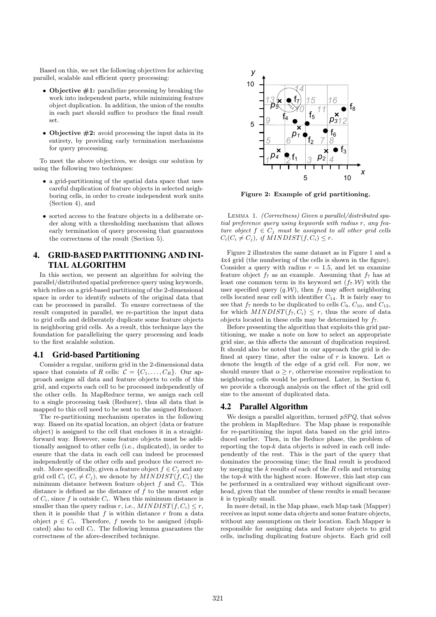Based on this, we set the following objectives for achieving parallel, scalable and efficient query processing:

- Objective  $\#1$ : parallelize processing by breaking the work into independent parts, while minimizing feature object duplication. In addition, the union of the results in each part should suffice to produce the final result set.
- Objective  $\#2$ : avoid processing the input data in its entirety, by providing early termination mechanisms for query processing.

To meet the above objectives, we design our solution by using the following two techniques:

- a grid-partitioning of the spatial data space that uses careful duplication of feature objects in selected neighboring cells, in order to create independent work units (Section 4), and
- sorted access to the feature objects in a deliberate order along with a thresholding mechanism that allows early termination of query processing that guarantees the correctness of the result (Section 5).

# **4. GRID-BASED PARTITIONING AND INI-TIAL ALGORITHM**

In this section, we present an algorithm for solving the parallel/distributed spatial preference query using keywords, which relies on a grid-based partitioning of the 2-dimensional space in order to identify subsets of the original data that can be processed in parallel. To ensure correctness of the result computed in parallel, we re-partition the input data to grid cells and deliberately duplicate some feature objects in neighboring grid cells. As a result, this technique lays the foundation for parallelizing the query processing and leads to the first scalable solution.

# **4.1 Grid-based Partitioning**

Consider a regular, uniform grid in the 2-dimensional data space that consists of R cells:  $C = \{C_1, \ldots, C_R\}$ . Our approach assigns all data and feature objects to cells of this grid, and expects each cell to be processed independently of the other cells. In MapReduce terms, we assign each cell to a single processing task (Reducer), thus all data that is mapped to this cell need to be sent to the assigned Reducer.

The re-partitioning mechanism operates in the following way. Based on its spatial location, an object (data or feature object) is assigned to the cell that encloses it in a straightforward way. However, some feature objects must be additionally assigned to other cells (i.e., duplicated), in order to ensure that the data in each cell can indeed be processed independently of the other cells and produce the correct result. More specifically, given a feature object  $f \in C_j$  and any grid cell  $C_i$  ( $C_i \neq C_j$ ), we denote by  $MINDIST(f, C_i)$  the minimum distance between feature object  $f$  and  $C_i$ . This distance is defined as the distance of  $f$  to the nearest edge of  $C_i$ , since f is outside  $C_i$ . When this minimum distance is smaller than the query radius r, i.e.,  $MINDIST(f, C_i) \leq r$ , then it is possible that  $f$  is within distance  $r$  from a data object  $p \in C_i$ . Therefore, f needs to be assigned (duplicated) also to cell  $C_i$ . The following lemma guarantees the correctness of the afore-described technique.



Figure 2: Example of grid partitioning.

Lemma 1. *(Correctness) Given a parallel/distributed spatial preference query using keywords with radius* r*, any feature object*  $f \in C_i$  *must be assigned to all other grid cells*  $C_i(C_i \neq C_j)$ *, if MINDIST* $(f, C_i) \leq r$ *.* 

Figure 2 illustrates the same dataset as in Figure 1 and a 4x4 grid (the numbering of the cells is shown in the figure). Consider a query with radius  $r = 1.5$ , and let us examine feature object  $f_7$  as an example. Assuming that  $f_7$  has at least one common term in its keyword set  $(f_7 \mathcal{W})$  with the user specified query  $(q.W)$ , then  $f_7$  may affect neighboring cells located near cell with identifier  $C_{14}$ . It is fairly easy to see that  $f_7$  needs to be duplicated to cells  $C_9$ ,  $C_{10}$ , and  $C_{13}$ , for which  $MINDIST(f_7, C_i) \leq r$ , thus the score of data objects located in these cells may be determined by  $f_7$ .

Before presenting the algorithm that exploits this grid partitioning, we make a note on how to select an appropriate grid size, as this affects the amount of duplication required. It should also be noted that in our approach the grid is defined at query time, after the value of r is known. Let  $\alpha$ denote the length of the edge of a grid cell. For now, we should ensure that  $\alpha \geq r$ , otherwise excessive replication to neighboring cells would be performed. Later, in Section 6, we provide a thorough analysis on the effect of the grid cell size to the amount of duplicated data.

# **4.2 Parallel Algorithm**

We design a parallel algorithm, termed *pSPQ*, that solves the problem in MapReduce. The Map phase is responsible for re-partitioning the input data based on the grid introduced earlier. Then, in the Reduce phase, the problem of reporting the top- $k$  data objects is solved in each cell independently of the rest. This is the part of the query that dominates the processing time; the final result is produced by merging the  $k$  results of each of the  $R$  cells and returning the top- $k$  with the highest score. However, this last step can be performed in a centralized way without significant overhead, given that the number of these results is small because k is typically small.

In more detail, in the Map phase, each Map task (Mapper) receives as input some data objects and some feature objects, without any assumptions on their location. Each Mapper is responsible for assigning data and feature objects to grid cells, including duplicating feature objects. Each grid cell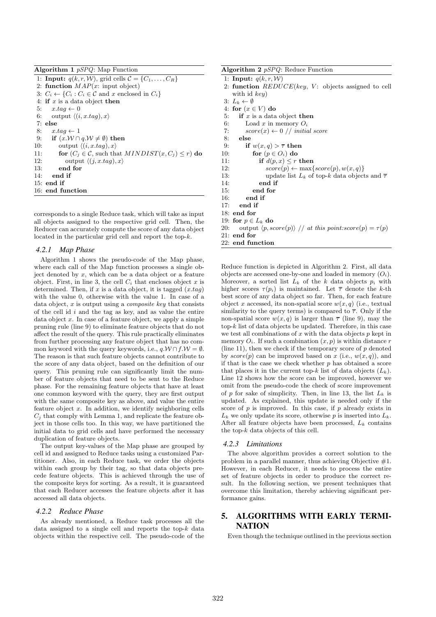Algorithm 1 *pSPQ*: Map Function

1: **Input:**  $q(k, r, W)$ , grid cells  $C = \{C_1, \ldots, C_R\}$ 2: function  $MAP(x)$ : input object) 3:  $C_i \leftarrow \{C_i : C_i \in \mathcal{C} \text{ and } x \text{ enclosed in } C_i\}$ 4: if  $x$  is a data object then 5:  $x.tag \leftarrow 0$ 6: output  $\langle (i, x.tag), x \rangle$ 7: else 8:  $x.tag \leftarrow 1$ 9: if  $(x.W \cap q.W \neq \emptyset)$  then 10: output  $\langle (i, x.taq), x \rangle$ 11: **for**  $(C_j \in \mathcal{C}$ , such that  $MINDIST(x, C_j) \leq r)$  **do** 12: **output**  $\langle (i, x, taq), x \rangle$ output  $\langle (j, x.tag), x \rangle$ 13: end for 14: end if 15: end if 16: end function

corresponds to a single Reduce task, which will take as input all objects assigned to the respective grid cell. Then, the Reducer can accurately compute the score of any data object located in the particular grid cell and report the top-k.

#### *4.2.1 Map Phase*

Algorithm 1 shows the pseudo-code of the Map phase, where each call of the Map function processes a single object denoted by  $x$ , which can be a data object or a feature object. First, in line 3, the cell  $C_i$  that encloses object x is determined. Then, if  $x$  is a data object, it is tagged  $(x.tag)$ with the value 0, otherwise with the value 1. In case of a data object, x is output using a *composite key* that consists of the cell id  $i$  and the tag as key, and as value the entire data object  $x$ . In case of a feature object, we apply a simple pruning rule (line 9) to eliminate feature objects that do not affect the result of the query. This rule practically eliminates from further processing any feature object that has no common keyword with the query keywords, i.e.,  $q.W \cap f.W = \emptyset$ . The reason is that such feature objects cannot contribute to the score of any data object, based on the definition of our query. This pruning rule can significantly limit the number of feature objects that need to be sent to the Reduce phase. For the remaining feature objects that have at least one common keyword with the query, they are first output with the same composite key as above, and value the entire feature object  $x$ . In addition, we identify neighboring cells  $C_i$  that comply with Lemma 1, and replicate the feature object in those cells too. In this way, we have partitioned the initial data to grid cells and have performed the necessary duplication of feature objects.

The output key-values of the Map phase are grouped by cell id and assigned to Reduce tasks using a customized Partitioner. Also, in each Reduce task, we order the objects within each group by their tag, so that data objects precede feature objects. This is achieved through the use of the composite keys for sorting. As a result, it is guaranteed that each Reducer accesses the feature objects after it has accessed all data objects.

# *4.2.2 Reduce Phase*

As already mentioned, a Reduce task processes all the data assigned to a single cell and reports the top- $k$  data objects within the respective cell. The pseudo-code of the

|     | <b>Algorithm 2</b> $pSPQ$ : Reduce Function                                 |
|-----|-----------------------------------------------------------------------------|
|     | 1: Input: $q(k, r, W)$                                                      |
|     | 2: function $REDUCE(key, V:$ objects assigned to cell                       |
|     | with id $key$ )                                                             |
|     | 3: $L_k \leftarrow \emptyset$                                               |
|     | 4: for $(x \in V)$ do                                                       |
| 5:  | if $x$ is a data object then                                                |
| 6:  | Load x in memory $O_i$                                                      |
| 7:  | $score(x) \leftarrow 0 \ // \ initial \ score$                              |
| 8:  | else                                                                        |
| 9:  | if $w(x,q) > \overline{\tau}$ then                                          |
|     | for $(p \in O_i)$ do<br>10:                                                 |
| 11: | if $d(p, x) \leq r$ then                                                    |
| 12: | $score(p) \leftarrow max\{score(p), w(x, q)\}$                              |
| 13: | update list $L_k$ of top-k data objects and $\overline{\tau}$               |
| 14: | end if                                                                      |
| 15: | end for                                                                     |
| 16: | end if                                                                      |
| 17: | end if                                                                      |
|     | $18:$ end for                                                               |
|     | 19: for $p \in L_k$ do                                                      |
| 20: | output $\langle p, score(p) \rangle$ // at this point:score $(p) = \tau(p)$ |
|     | $21:$ end for                                                               |
|     | $22:$ end function                                                          |

Reduce function is depicted in Algorithm 2. First, all data objects are accessed one-by-one and loaded in memory  $(O_i)$ . Moreover, a sorted list  $L_k$  of the k data objects  $p_i$  with higher scores  $\tau(p_i)$  is maintained. Let  $\bar{\tau}$  denote the k-th best score of any data object so far. Then, for each feature object x accessed, its non-spatial score  $w(x, q)$  (i.e., textual similarity to the query terms) is compared to  $\bar{\tau}$ . Only if the non-spatial score  $w(x, q)$  is larger than  $\overline{\tau}$  (line 9), may the  $top-k$  list of data objects be updated. Therefore, in this case we test all combinations of  $x$  with the data objects  $p$  kept in memory  $O_i$ . If such a combination  $(x, p)$  is within distance r (line 11), then we check if the temporary score of  $p$  denoted by  $score(p)$  can be improved based on x (i.e.,  $w(x, q)$ ), and if that is the case we check whether  $p$  has obtained a score that places it in the current top-k list of data objects  $(L_k)$ . Line 12 shows how the score can be improved, however we omit from the pseudo-code the check of score improvement of p for sake of simplicity. Then, in line 13, the list  $L_k$  is updated. As explained, this update is needed only if the score of  $p$  is improved. In this case, if  $p$  already exists in  $L_k$  we only update its score, otherwise p is inserted into  $L_k$ . After all feature objects have been processed,  $L_k$  contains the top- $k$  data objects of this cell.

#### *4.2.3 Limitations*

The above algorithm provides a correct solution to the problem in a parallel manner, thus achieving Objective  $#1$ . However, in each Reducer, it needs to process the entire set of feature objects in order to produce the correct result. In the following section, we present techniques that overcome this limitation, thereby achieving significant performance gains.

# **5. ALGORITHMS WITH EARLY TERMI-NATION**

Even though the technique outlined in the previous section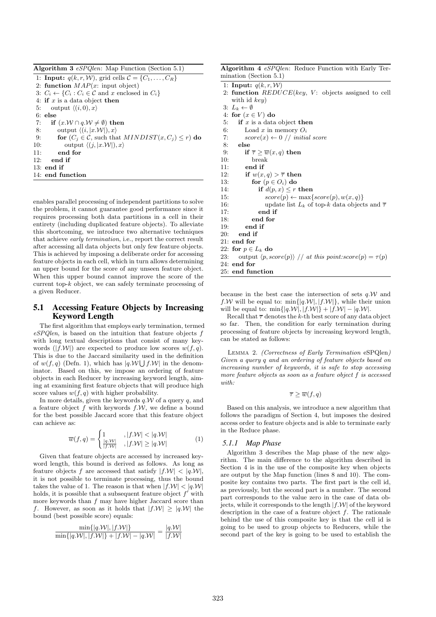|     | <b>Algorithm 3</b> $eSPQlen$ : Map Function (Section 5.1)                                 |
|-----|-------------------------------------------------------------------------------------------|
|     | 1: <b>Input:</b> $q(k, r, W)$ , grid cells $C = \{C_1, \ldots, C_R\}$                     |
|     | 2: function $MAP(x)$ : input object)                                                      |
|     | 3: $C_i \leftarrow \{C_i : C_i \in \mathcal{C} \text{ and } x \text{ enclosed in } C_i\}$ |
|     | 4: if x is a data object then                                                             |
|     | 5: output $\langle (i,0), x \rangle$                                                      |
|     | $6:$ else                                                                                 |
| 7:  | if $(x.W \cap q.W \neq \emptyset)$ then                                                   |
| 8:  | output $\langle (i,  x \mathcal{W} ), x \rangle$                                          |
| 9:  | for $(C_j \in \mathcal{C}$ , such that $MINDIST(x, C_j) \leq r$ do                        |
| 10: | output $\langle (i,  x \mathcal{W} ), x \rangle$                                          |
| 11: | end for                                                                                   |
| 12: | end if                                                                                    |
|     | $13:$ end if                                                                              |
|     | 14: end function                                                                          |

enables parallel processing of independent partitions to solve the problem, it cannot guarantee good performance since it requires processing both data partitions in a cell in their entirety (including duplicated feature objects). To alleviate this shortcoming, we introduce two alternative techniques that achieve *early termination*, i.e., report the correct result after accessing all data objects but only few feature objects. This is achieved by imposing a deliberate order for accessing feature objects in each cell, which in turn allows determining an upper bound for the score of any unseen feature object. When this upper bound cannot improve the score of the current top- $k$  object, we can safely terminate processing of a given Reducer.

# **5.1 Accessing Feature Objects by Increasing Keyword Length**

The first algorithm that employs early termination, termed *eSPQlen*, is based on the intuition that feature objects f with long textual descriptions that consist of many keywords  $(|f \mathcal{W}|)$  are expected to produce low scores  $w(f, q)$ . This is due to the Jaccard similarity used in the definition of  $w(f, q)$  (Defn. 1), which has  $|q.W \bigcup f.W|$  in the denominator. Based on this, we impose an ordering of feature objects in each Reducer by increasing keyword length, aiming at examining first feature objects that will produce high score values  $w(f, q)$  with higher probability.

In more details, given the keywords  $q.W$  of a query q, and a feature object  $f$  with keywords  $f.\mathcal{W}$ , we define a bound for the best possible Jaccard score that this feature object can achieve as:

$$
\overline{w}(f,q) = \begin{cases} 1 & , |f.\mathcal{W}| < |q.\mathcal{W}| \\ \frac{|q.\mathcal{W}|}{|f.\mathcal{W}|}, |f.\mathcal{W}| \ge |q.\mathcal{W}| \end{cases} \tag{1}
$$

Given that feature objects are accessed by increased keyword length, this bound is derived as follows. As long as feature objects f are accessed that satisfy  $|f \mathcal{W}| < |q \mathcal{W}|$ , it is not possible to terminate processing, thus the bound takes the value of 1. The reason is that when  $|f \mathcal{W}| < |q \mathcal{W}|$ holds, it is possible that a subsequent feature object  $f'$  with more keywords than  $f$  may have higher Jaccard score than f. However, as soon as it holds that  $|f \mathcal{W}| \geq |q \mathcal{W}|$  the bound (best possible score) equals:

$$
\frac{\min\{|q.\mathcal{W}|, |f.\mathcal{W}|\}}{\min\{|q.\mathcal{W}|, |f.\mathcal{W}|\} + |f.\mathcal{W}| - |q.\mathcal{W}|} = \frac{|q.\mathcal{W}|}{|f.\mathcal{W}|}
$$

| <b>Algorithm 4</b> eSPQlen: Reduce Function with Early Ter-<br>mination (Section $5.1$ ) |  |  |  |  |
|------------------------------------------------------------------------------------------|--|--|--|--|
|                                                                                          |  |  |  |  |
| 1: Input: $q(k, r, W)$                                                                   |  |  |  |  |
| 2: function $REDUCE(key, V:$ objects assigned to cell                                    |  |  |  |  |
| with id $key$ )                                                                          |  |  |  |  |
| 3: $L_k \leftarrow \emptyset$                                                            |  |  |  |  |
| 4: for $(x \in V)$ do                                                                    |  |  |  |  |
| 5:<br>if x is a data object then                                                         |  |  |  |  |
| 6:<br>Load x in memory $O_i$                                                             |  |  |  |  |
| $score(x) \leftarrow 0 \ // \ initial \ score$<br>7:                                     |  |  |  |  |
| 8:<br>else                                                                               |  |  |  |  |
| 9:<br>if $\overline{\tau} \geq \overline{w}(x,q)$ then                                   |  |  |  |  |
| 10:<br>break                                                                             |  |  |  |  |
| end if<br>11:                                                                            |  |  |  |  |
| if $w(x,q) > \overline{\tau}$ then<br>12:                                                |  |  |  |  |
| 13:<br>for $(p \in O_i)$ do                                                              |  |  |  |  |
| if $d(p, x) \leq r$ then<br>14:                                                          |  |  |  |  |
| $score(p) \leftarrow max\{score(p), w(x, q)\}$<br>15:                                    |  |  |  |  |
| 16:<br>update list $L_k$ of top-k data objects and $\overline{\tau}$                     |  |  |  |  |
| 17:<br>end if                                                                            |  |  |  |  |
| end for<br>18:                                                                           |  |  |  |  |
| end if<br>19:                                                                            |  |  |  |  |
| 20:<br>end if                                                                            |  |  |  |  |
| $21:$ end for                                                                            |  |  |  |  |
| 22: for $p \in L_k$ do                                                                   |  |  |  |  |
| output $\langle p, score(p) \rangle$ // at this point:score $(p) = \tau(p)$<br>23:       |  |  |  |  |
| $24:$ end for                                                                            |  |  |  |  |
| 25: end function                                                                         |  |  |  |  |

because in the best case the intersection of sets  $q.W$  and f.W will be equal to:  $\min\{|q.W|, |f.W|\}$ , while their union will be equal to:  $\min\{|q.W|, |f.W|\} + |f.W| - |q.W|$ .

Recall that  $\bar{\tau}$  denotes the k-th best score of any data object so far. Then, the condition for early termination during processing of feature objects by increasing keyword length, can be stated as follows:

Lemma 2. *(Correctness of Early Termination* eSPQlen*) Given a query* q *and an ordering of feature objects based on increasing number of keywords, it is safe to stop accessing more feature objects as soon as a feature object* f *is accessed with:*

$$
\overline{\tau} \geq \overline{w}(f, q)
$$

Based on this analysis, we introduce a new algorithm that follows the paradigm of Section 4, but imposes the desired access order to feature objects and is able to terminate early in the Reduce phase.

#### *5.1.1 Map Phase*

Algorithm 3 describes the Map phase of the new algorithm. The main difference to the algorithm described in Section 4 is in the use of the composite key when objects are output by the Map function (lines 8 and 10). The composite key contains two parts. The first part is the cell id, as previously, but the second part is a number. The second part corresponds to the value zero in the case of data objects, while it corresponds to the length  $|f \mathcal{W}|$  of the keyword description in the case of a feature object f. The rationale behind the use of this composite key is that the cell id is going to be used to group objects to Reducers, while the second part of the key is going to be used to establish the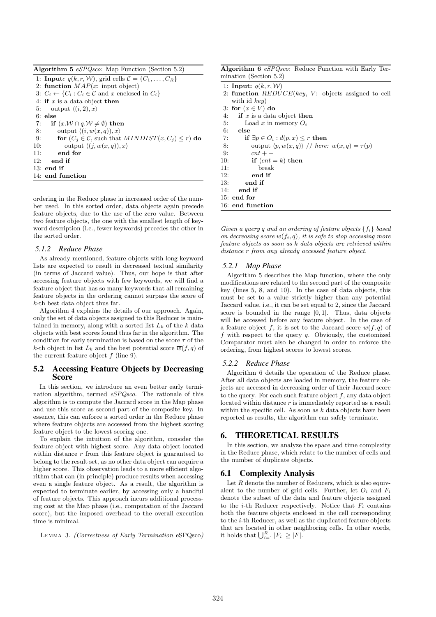| <b>Algorithm 5</b> eSPQsco: Map Function (Section 5.2) |  |  |  |  |  |  |  |
|--------------------------------------------------------|--|--|--|--|--|--|--|
|--------------------------------------------------------|--|--|--|--|--|--|--|

1: **Input:**  $q(k, r, W)$ , grid cells  $C = \{C_1, \ldots, C_R\}$ 2: function  $MAP(x)$ : input object) 3:  $C_i \leftarrow \{C_i : C_i \in \mathcal{C} \text{ and } x \text{ enclosed in } C_i\}$ 4: if  $x$  is a data object then 5: output  $\langle (i, 2), x \rangle$ 6: else<br>7: if if  $(x.\mathcal{W} \cap q.\mathcal{W} \neq \emptyset)$  then 8: output  $\langle (i, w(x, q)), x \rangle$ 9: **for**  $(C_j \in \mathcal{C}$ , such that  $MINDIST(x, C_j) \leq r)$  do 10: output  $\langle (j, w(x, q)), x \rangle$ 11: end for 12: end if 13: end if 14: end function

ordering in the Reduce phase in increased order of the number used. In this sorted order, data objects again precede feature objects, due to the use of the zero value. Between two feature objects, the one with the smallest length of keyword description (i.e., fewer keywords) precedes the other in the sorted order.

#### *5.1.2 Reduce Phase*

As already mentioned, feature objects with long keyword lists are expected to result in decreased textual similarity (in terms of Jaccard value). Thus, our hope is that after accessing feature objects with few keywords, we will find a feature object that has so many keywords that all remaining feature objects in the ordering cannot surpass the score of k-th best data object thus far.

Algorithm 4 explains the details of our approach. Again, only the set of data objects assigned to this Reducer is maintained in memory, along with a sorted list  $L_k$  of the k data objects with best scores found thus far in the algorithm. The condition for early termination is based on the score  $\bar{\tau}$  of the k-th object in list  $L_k$  and the best potential score  $\overline{w}(f, q)$  of the current feature object  $f$  (line 9).

# **5.2 Accessing Feature Objects by Decreasing Score**

In this section, we introduce an even better early termination algorithm, termed *eSPQsco*. The rationale of this algorithm is to compute the Jaccard score in the Map phase and use this score as second part of the composite key. In essence, this can enforce a sorted order in the Reduce phase where feature objects are accessed from the highest scoring feature object to the lowest scoring one.

To explain the intuition of the algorithm, consider the feature object with highest score. Any data object located within distance  $r$  from this feature object is guaranteed to belong to the result set, as no other data object can acquire a higher score. This observation leads to a more efficient algorithm that can (in principle) produce results when accessing even a single feature object. As a result, the algorithm is expected to terminate earlier, by accessing only a handful of feature objects. This approach incurs additional processing cost at the Map phase (i.e., computation of the Jaccard score), but the imposed overhead to the overall execution time is minimal.

Lemma 3. *(Correctness of Early Termination* eSPQsco*)*

Algorithm 6 *eSPQsco*: Reduce Function with Early Termination (Section 5.2)

|     | $\mu$ =                                                        |
|-----|----------------------------------------------------------------|
|     | 1: Input: $q(k, r, W)$                                         |
|     | 2: function $REDUCE(key, V:$ objects assigned to cell          |
|     | with id $key$ )                                                |
|     | 3: for $(x \in V)$ do                                          |
| 4:  | if $x$ is a data object then                                   |
| 5:  | Load x in memory $O_i$                                         |
| 6:  | else                                                           |
| 7:  | if $\exists p \in O_i : d(p, x) \leq r$ then                   |
| 8:  | output $\langle p, w(x,q) \rangle$ // here: $w(x,q) = \tau(p)$ |
| 9:  | $cnt + +$                                                      |
| 10: | if $(cnt = k)$ then                                            |
| 11: | break                                                          |
| 12: | end if                                                         |
| 13: | end if                                                         |
| 14: | end if                                                         |
|     | $15:$ end for                                                  |
|     | 16: end function                                               |

*Given a query* q *and an ordering of feature objects* {fi} *based on decreasing score*  $w(f_i, q)$ *, it is safe to stop accessing more feature objects as soon as* k *data objects are retrieved within distance* r *from any already accessed feature object.*

#### *5.2.1 Map Phase*

Algorithm 5 describes the Map function, where the only modifications are related to the second part of the composite key (lines 5, 8, and 10). In the case of data objects, this must be set to a value strictly higher than any potential Jaccard value, i.e., it can be set equal to 2, since the Jaccard score is bounded in the range  $[0, 1]$ . Thus, data objects will be accessed before any feature object. In the case of a feature object f, it is set to the Jaccard score  $w(f, q)$  of f with respect to the query  $q$ . Obviously, the customized Comparator must also be changed in order to enforce the ordering, from highest scores to lowest scores.

#### *5.2.2 Reduce Phase*

Algorithm 6 details the operation of the Reduce phase. After all data objects are loaded in memory, the feature objects are accessed in decreasing order of their Jaccard score to the query. For each such feature object  $f$ , any data object located within distance r is immediately reported as a result within the specific cell. As soon as  $k$  data objects have been reported as results, the algorithm can safely terminate.

#### **6. THEORETICAL RESULTS**

In this section, we analyze the space and time complexity in the Reduce phase, which relate to the number of cells and the number of duplicate objects.

#### **6.1 Complexity Analysis**

Let  $R$  denote the number of Reducers, which is also equivalent to the number of grid cells. Further, let  $O_i$  and  $F_i$ denote the subset of the data and feature objects assigned to the *i*-th Reducer respectively. Notice that  $F_i$  contains both the feature objects enclosed in the cell corresponding to the i-th Reducer, as well as the duplicated feature objects that are located in other neighboring cells. In other words, it holds that  $\bigcup_{i=1}^R |F_i| \geq |F|$ .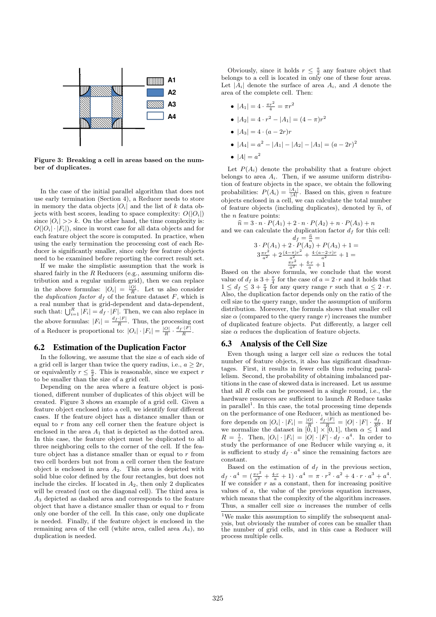

Figure 3: Breaking a cell in areas based on the number of duplicates.

In the case of the initial parallel algorithm that does not use early termination (Section 4), a Reducer needs to store in memory the data objects  $|O_i|$  and the list of k data objects with best scores, leading to space complexity:  $O(|O_i|)$ since  $|O_i| \gg k$ . On the other hand, the time complexity is:  $O(|O_i| \cdot |F_i|)$ , since in worst case for all data objects and for each feature object the score is computed. In practice, when using the early termination the processing cost of each Reducer is significantly smaller, since only few feature objects need to be examined before reporting the correct result set.

If we make the simplistic assumption that the work is shared fairly in the  $R$  Reducers (e.g., assuming uniform distribution and a regular uniform grid), then we can replace in the above formulas:  $|O_i| = \frac{|O|}{R}$ . Let us also consider the *duplication factor*  $d_f$  of the feature dataset  $F$ , which is a real number that is grid-dependent and data-dependent, such that:  $\bigcup_{i=1}^{R} |F_i| = d_f \cdot |F|$ . Then, we can also replace in the above formulas:  $|F_i| = \frac{d_f \cdot |F|}{R}$ . Thus, the processing cost of a Reducer is proportional to:  $|O_i| \cdot |F_i| = \frac{|O|}{R} \cdot \frac{d_f \cdot |F|}{R}$ .

### **6.2 Estimation of the Duplication Factor**

In the following, we assume that the size  $a$  of each side of a grid cell is larger than twice the query radius, i.e.,  $a \geq 2r$ , or equivalently  $r \leq \frac{a}{2}$ . This is reasonable, since we expect r to be smaller than the size of a grid cell.

Depending on the area where a feature object is positioned, different number of duplicates of this object will be created. Figure 3 shows an example of a grid cell. Given a feature object enclosed into a cell, we identify four different cases. If the feature object has a distance smaller than or equal to r from any cell corner then the feature object is enclosed in the area  $A_1$  that is depicted as the dotted area. In this case, the feature object must be duplicated to all three neighboring cells to the corner of the cell. If the feature object has a distance smaller than or equal to  $r$  from two cell borders but not from a cell corner then the feature object is enclosed in area  $A_2$ . This area is depicted with solid blue color defined by the four rectangles, but does not include the circles. If located in  $A_2$ , then only 2 duplicates will be created (not on the diagonal cell). The third area is A<sup>3</sup> depicted as dashed area and corresponds to the feature object that have a distance smaller than or equal to  $r$  from only one border of the cell. In this case, only one duplicate is needed. Finally, if the feature object is enclosed in the remaining area of the cell (white area, called area  $A_4$ ), no duplication is needed.

Obviously, since it holds  $r \leq \frac{a}{2}$  any feature object that belongs to a cell is located in only one of these four areas. Let  $|A_i|$  denote the surface of area  $A_i$ , and A denote the area of the complete cell. Then:

- $|A_1| = 4 \cdot \frac{\pi r^2}{4} = \pi r^2$
- $|A_2| = 4 \cdot r^2 |A_1| = (4 \pi)r^2$
- $|A_3| = 4 \cdot (a 2r)r$
- $|A_4| = a^2 |A_1| |A_2| |A_3| = (a 2r)^2$
- $|A| = a^2$

Let  $P(A_i)$  denote the probability that a feature object belongs to area  $A_i$ . Then, if we assume uniform distribution of feature objects in the space, we obtain the following probabilities:  $P(A_i) = \frac{|A_i|}{|A|}$ . Based on this, given *n* feature objects enclosed in a cell, we can calculate the total number of feature objects (including duplicates), denoted by  $\hat{n}$ , of the  $n$  feature points:

 $\hat{n} = 3 \cdot n \cdot P(A_1) + 2 \cdot n \cdot P(A_2) + n \cdot P(A_3) + n$ and we can calculate the duplication factor  $d_f$  for this cell:  $d_f = \frac{\widehat{n}}{n} =$  $3 \cdot P(A_1) + 2 \cdot P(A_2) + P(A_3) + 1 =$  $3\frac{\pi r^2}{a^2}+2\frac{(4-\pi)r^2}{a^2}+\frac{4\cdot(a-2\cdot r)r}{a^2}+1=$ 

$$
\frac{\frac{a^2}{a^2} + 2\frac{\sqrt{2}}{a^2} + \frac{\sqrt{2}}{a^2} + 1}{\frac{\pi r^2}{a^2} + \frac{4\cdot r}{a} + 1} + 1 =
$$

Based on the above formula, we conclude that the worst value of  $d_f$  is  $3 + \frac{\pi}{4}$  for the case of  $a = 2 \cdot r$  and it holds that  $1 \leq d_f \leq 3 + \frac{\pi}{4}$  for any query range r such that  $a \leq 2 \cdot r$ . Also, the duplication factor depends only on the ratio of the cell size to the query range, under the assumption of uniform distribution. Moreover, the formula shows that smaller cell size  $\alpha$  (compared to the query range r) increases the number of duplicated feature objects. Put differently, a larger cell size  $\alpha$  reduces the duplication of feature objects.

#### **6.3 Analysis of the Cell Size**

Even though using a larger cell size  $\alpha$  reduces the total number of feature objects, it also has significant disadvantages. First, it results in fewer cells thus reducing parallelism. Second, the probability of obtaining imbalanced partitions in the case of skewed data is increased. Let us assume that all  $R$  cells can be processed in a single round, i.e., the hardware resources are sufficient to launch R Reduce tasks in parallel<sup>1</sup>. In this case, the total processing time depends on the performance of one Reducer, which as mentioned before depends on  $|O_i| \cdot |F_i| = \frac{|O|}{R} \cdot \frac{d_f \cdot |F|}{R} = |O| \cdot |F| \cdot \frac{d_f}{R^2}$ . If we normalize the dataset in  $[0,1] \times [0,1]$ , then  $\alpha \leq 1$  and  $R = \frac{1}{a}$ . Then,  $|O_i| \cdot |F_i| = |O| \cdot |F| \cdot d_f \cdot a^4$ . In order to study the performance of one Reducer while varying a, it is sufficient to study  $d_f \cdot a^4$  since the remaining factors are constant.

Based on the estimation of  $d_f$  in the previous section,  $d_f \cdot a^4 = (\frac{\pi r^2}{a^2} + \frac{4 \cdot r}{a} + 1) \cdot a^4 = \pi \cdot r^2 \cdot a^2 + 4 \cdot r \cdot a^3 + a^4.$ If we consider  $r$  as a constant, then for increasing positive values of a, the value of the previous equation increases, which means that the complexity of the algorithm increases. Thus, a smaller cell size  $\alpha$  increases the number of cells

<sup>&</sup>lt;sup>1</sup>We make this assumption to simplify the subsequent analysis, but obviously the number of cores can be smaller than the number of grid cells, and in this case a Reducer will process multiple cells.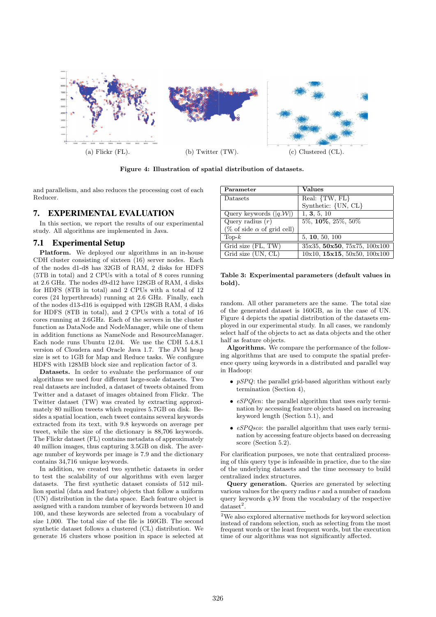

Figure 4: Illustration of spatial distribution of datasets.

and parallelism, and also reduces the processing cost of each Reducer.

# **7. EXPERIMENTAL EVALUATION**

In this section, we report the results of our experimental study. All algorithms are implemented in Java.

# **7.1 Experimental Setup**

Platform. We deployed our algorithms in an in-house CDH cluster consisting of sixteen (16) server nodes. Each of the nodes d1-d8 has 32GB of RAM, 2 disks for HDFS (5TB in total) and 2 CPUs with a total of 8 cores running at 2.6 GHz. The nodes d9-d12 have 128GB of RAM, 4 disks for HDFS (8TB in total) and 2 CPUs with a total of 12 cores (24 hyperthreads) running at 2.6 GHz. Finally, each of the nodes d13-d16 is equipped with 128GB RAM, 4 disks for HDFS (8TB in total), and 2 CPUs with a total of 16 cores running at 2.6GHz. Each of the servers in the cluster function as DataNode and NodeManager, while one of them in addition functions as NameNode and ResourceManager. Each node runs Ubuntu 12.04. We use the CDH 5.4.8.1 version of Cloudera and Oracle Java 1.7. The JVM heap size is set to 1GB for Map and Reduce tasks. We configure HDFS with 128MB block size and replication factor of 3.

Datasets. In order to evaluate the performance of our algorithms we used four different large-scale datasets. Two real datasets are included, a dataset of tweets obtained from Twitter and a dataset of images obtained from Flickr. The Twitter dataset (TW) was created by extracting approximately 80 million tweets which requires 5.7GB on disk. Besides a spatial location, each tweet contains several keywords extracted from its text, with 9.8 keywords on average per tweet, while the size of the dictionary is 88,706 keywords. The Flickr dataset (FL) contains metadata of approximately 40 million images, thus capturing 3.5GB on disk. The average number of keywords per image is 7.9 and the dictionary contains 34,716 unique keywords.

In addition, we created two synthetic datasets in order to test the scalability of our algorithms with even larger datasets. The first synthetic dataset consists of 512 million spatial (data and feature) objects that follow a uniform (UN) distribution in the data space. Each feature object is assigned with a random number of keywords between 10 and 100, and these keywords are selected from a vocabulary of size 1,000. The total size of the file is 160GB. The second synthetic dataset follows a clustered (CL) distribution. We generate 16 clusters whose position in space is selected at

| Parameter                            | <b>Values</b>                           |
|--------------------------------------|-----------------------------------------|
| Datasets                             | Real: {TW, FL}                          |
|                                      | Synthetic: {UN, CL}                     |
| Query keywords $( q, \mathcal{W} )$  | 1, 3, 5, 10                             |
| Query radius $(r)$                   | $5\%, 10\%, 25\%, 50\%$                 |
| (% of side $\alpha$ of grid cell)    |                                         |
| $\text{Top-}k$                       | 5, 10, 50, 100                          |
| Grid size (FL, TW)                   | 35x35, 50x50, 75x75, 100x100            |
| Grid size $\overline{\text{UN, CL}}$ | $10x10$ , $15x15$ , $50x50$ , $100x100$ |

#### Table 3: Experimental parameters (default values in bold).

random. All other parameters are the same. The total size of the generated dataset is 160GB, as in the case of UN. Figure 4 depicts the spatial distribution of the datasets employed in our experimental study. In all cases, we randomly select half of the objects to act as data objects and the other half as feature objects.

Algorithms. We compare the performance of the following algorithms that are used to compute the spatial preference query using keywords in a distributed and parallel way in Hadoop:

- *pSPQ*: the parallel grid-based algorithm without early termination (Section 4),
- *eSPQlen*: the parallel algorithm that uses early termination by accessing feature objects based on increasing keyword length (Section 5.1), and
- *eSPQsco*: the parallel algorithm that uses early termination by accessing feature objects based on decreasing score (Section 5.2).

For clarification purposes, we note that centralized processing of this query type is infeasible in practice, due to the size of the underlying datasets and the time necessary to build centralized index structures.

Query generation. Queries are generated by selecting various values for the query radius  $r$  and a number of random query keywords  $q.W$  from the vocabulary of the respective  $dataset<sup>2</sup>$ .

 ${\rm ^2We}$  also explored alternative methods for keyword selection instead of random selection, such as selecting from the most frequent words or the least frequent words, but the execution time of our algorithms was not significantly affected.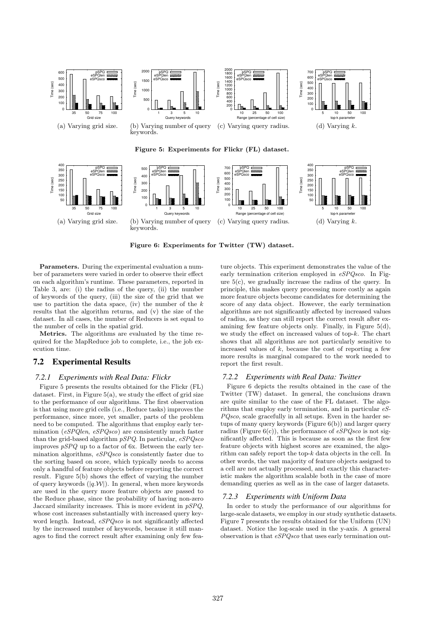

Figure 6: Experiments for Twitter (TW) dataset.

Parameters. During the experimental evaluation a number of parameters were varied in order to observe their effect on each algorithm's runtime. These parameters, reported in Table 3, are: (i) the radius of the query, (ii) the number of keywords of the query, (iii) the size of the grid that we use to partition the data space, (iv) the number of the  $k$ results that the algorithm returns, and (v) the size of the dataset. In all cases, the number of Reducers is set equal to the number of cells in the spatial grid.

Metrics. The algorithms are evaluated by the time required for the MapReduce job to complete, i.e., the job execution time.

# **7.2 Experimental Results**

#### *7.2.1 Experiments with Real Data: Flickr*

Figure 5 presents the results obtained for the Flickr (FL) dataset. First, in Figure  $5(a)$ , we study the effect of grid size to the performance of our algorithms. The first observation is that using more grid cells (i.e., Reduce tasks) improves the performance, since more, yet smaller, parts of the problem need to be computed. The algorithms that employ early termination (*eSPQlen*, *eSPQsco*) are consistently much faster than the grid-based algorithm *pSPQ*. In particular, *eSPQsco* improves *pSPQ* up to a factor of 6x. Between the early termination algorithms, *eSPQsco* is consistently faster due to the sorting based on score, which typically needs to access only a handful of feature objects before reporting the correct result. Figure 5(b) shows the effect of varying the number of query keywords  $(|q.W|)$ . In general, when more keywords are used in the query more feature objects are passed to the Reduce phase, since the probability of having non-zero Jaccard similarity increases. This is more evident in *pSPQ*, whose cost increases substantially with increased query keyword length. Instead, *eSPQsco* is not significantly affected by the increased number of keywords, because it still manages to find the correct result after examining only few feature objects. This experiment demonstrates the value of the early termination criterion employed in *eSPQsco*. In Figure  $5(c)$ , we gradually increase the radius of the query. In principle, this makes query processing more costly as again more feature objects become candidates for determining the score of any data object. However, the early termination algorithms are not significantly affected by increased values of radius, as they can still report the correct result after examining few feature objects only. Finally, in Figure 5(d), we study the effect on increased values of top-k. The chart shows that all algorithms are not particularly sensitive to increased values of  $k$ , because the cost of reporting a few more results is marginal compared to the work needed to report the first result.

#### *7.2.2 Experiments with Real Data: Twitter*

Figure 6 depicts the results obtained in the case of the Twitter (TW) dataset. In general, the conclusions drawn are quite similar to the case of the FL dataset. The algorithms that employ early termination, and in particular *eS-PQsco*, scale gracefully in all setups. Even in the harder setups of many query keywords (Figure 6(b)) and larger query radius (Figure 6(c)), the performance of *eSPQsco* is not significantly affected. This is because as soon as the first few feature objects with highest scores are examined, the algorithm can safely report the top-k data objects in the cell. In other words, the vast majority of feature objects assigned to a cell are not actually processed, and exactly this characteristic makes the algorithm scalable both in the case of more demanding queries as well as in the case of larger datasets.

# *7.2.3 Experiments with Uniform Data*

In order to study the performance of our algorithms for large-scale datasets, we employ in our study synthetic datasets. Figure 7 presents the results obtained for the Uniform (UN) dataset. Notice the log-scale used in the y-axis. A general observation is that *eSPQsco* that uses early termination out-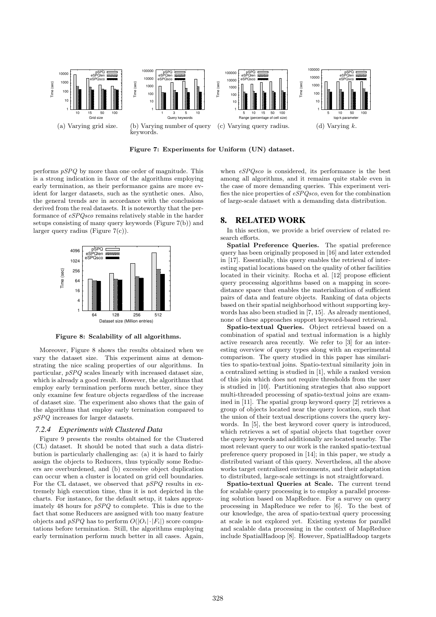

Figure 7: Experiments for Uniform (UN) dataset.

performs *pSPQ* by more than one order of magnitude. This is a strong indication in favor of the algorithms employing early termination, as their performance gains are more evident for larger datasets, such as the synthetic ones. Also, the general trends are in accordance with the conclusions derived from the real datasets. It is noteworthy that the performance of *eSPQsco* remains relatively stable in the harder setups consisting of many query keywords (Figure 7(b)) and larger query radius (Figure 7(c)).



Figure 8: Scalability of all algorithms.

Moreover, Figure 8 shows the results obtained when we vary the dataset size. This experiment aims at demonstrating the nice scaling properties of our algorithms. In particular, *pSPQ* scales linearly with increased dataset size, which is already a good result. However, the algorithms that employ early termination perform much better, since they only examine few feature objects regardless of the increase of dataset size. The experiment also shows that the gain of the algorithms that employ early termination compared to *pSPQ* increases for larger datasets.

#### *7.2.4 Experiments with Clustered Data*

Figure 9 presents the results obtained for the Clustered (CL) dataset. It should be noted that such a data distribution is particularly challenging as: (a) it is hard to fairly assign the objects to Reducers, thus typically some Reducers are overburdened, and (b) excessive object duplication can occur when a cluster is located on grid cell boundaries. For the CL dataset, we observed that *pSPQ* results in extremely high execution time, thus it is not depicted in the charts. For instance, for the default setup, it takes approximately 48 hours for *pSPQ* to complete. This is due to the fact that some Reducers are assigned with too many feature objects and *pSPQ* has to perform  $O(|O_i| \cdot |F_i|)$  score computations before termination. Still, the algorithms employing early termination perform much better in all cases. Again, when *eSPQsco* is considered, its performance is the best among all algorithms, and it remains quite stable even in the case of more demanding queries. This experiment verifies the nice properties of *eSPQsco*, even for the combination of large-scale dataset with a demanding data distribution.

# **8. RELATED WORK**

In this section, we provide a brief overview of related research efforts.

Spatial Preference Queries. The spatial preference query has been originally proposed in [16] and later extended in [17]. Essentially, this query enables the retrieval of interesting spatial locations based on the quality of other facilities located in their vicinity. Rocha et al. [12] propose efficient query processing algorithms based on a mapping in scoredistance space that enables the materialization of sufficient pairs of data and feature objects. Ranking of data objects based on their spatial neighborhood without supporting keywords has also been studied in [7, 15]. As already mentioned, none of these approaches support keyword-based retrieval.

Spatio-textual Queries. Object retrieval based on a combination of spatial and textual information is a highly active research area recently. We refer to [3] for an interesting overview of query types along with an experimental comparison. The query studied in this paper has similarities to spatio-textual joins. Spatio-textual similarity join in a centralized setting is studied in [1], while a ranked version of this join which does not require thresholds from the user is studied in [10]. Partitioning strategies that also support multi-threaded processing of spatio-textual joins are examined in [11]. The spatial group keyword query [2] retrieves a group of objects located near the query location, such that the union of their textual descriptions covers the query keywords. In [5], the best keyword cover query is introduced, which retrieves a set of spatial objects that together cover the query keywords and additionally are located nearby. The most relevant query to our work is the ranked spatio-textual preference query proposed in [14]; in this paper, we study a distributed variant of this query. Nevertheless, all the above works target centralized environments, and their adaptation to distributed, large-scale settings is not straightforward.

Spatio-textual Queries at Scale. The current trend for scalable query processing is to employ a parallel processing solution based on MapReduce. For a survey on query processing in MapReduce we refer to [6]. To the best of our knowledge, the area of spatio-textual query processing at scale is not explored yet. Existing systems for parallel and scalable data processing in the context of MapReduce include SpatialHadoop [8]. However, SpatialHadoop targets